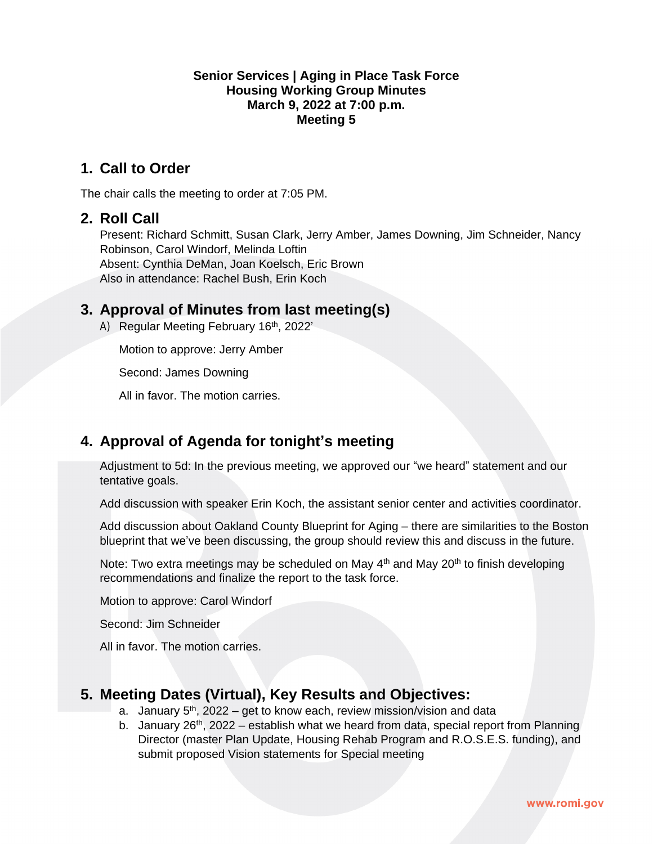#### **Senior Services | Aging in Place Task Force Housing Working Group Minutes March 9, 2022 at 7:00 p.m. Meeting 5**

### **1. Call to Order**

The chair calls the meeting to order at 7:05 PM.

#### **2. Roll Call**

Present: Richard Schmitt, Susan Clark, Jerry Amber, James Downing, Jim Schneider, Nancy Robinson, Carol Windorf, Melinda Loftin Absent: Cynthia DeMan, Joan Koelsch, Eric Brown Also in attendance: Rachel Bush, Erin Koch

### **3. Approval of Minutes from last meeting(s)**

A) Regular Meeting February 16<sup>th</sup>, 2022'

Motion to approve: Jerry Amber

Second: James Downing

All in favor. The motion carries.

### **4. Approval of Agenda for tonight's meeting**

Adjustment to 5d: In the previous meeting, we approved our "we heard" statement and our tentative goals.

Add discussion with speaker Erin Koch, the assistant senior center and activities coordinator.

Add discussion about Oakland County Blueprint for Aging – there are similarities to the Boston blueprint that we've been discussing, the group should review this and discuss in the future.

Note: Two extra meetings may be scheduled on May  $4<sup>th</sup>$  and May 20<sup>th</sup> to finish developing recommendations and finalize the report to the task force.

Motion to approve: Carol Windorf

Second: Jim Schneider

All in favor. The motion carries.

### **5. Meeting Dates (Virtual), Key Results and Objectives:**

- a. January  $5<sup>th</sup>$ , 2022 get to know each, review mission/vision and data
- b. January 26<sup>th</sup>, 2022 establish what we heard from data, special report from Planning Director (master Plan Update, Housing Rehab Program and R.O.S.E.S. funding), and submit proposed Vision statements for Special meeting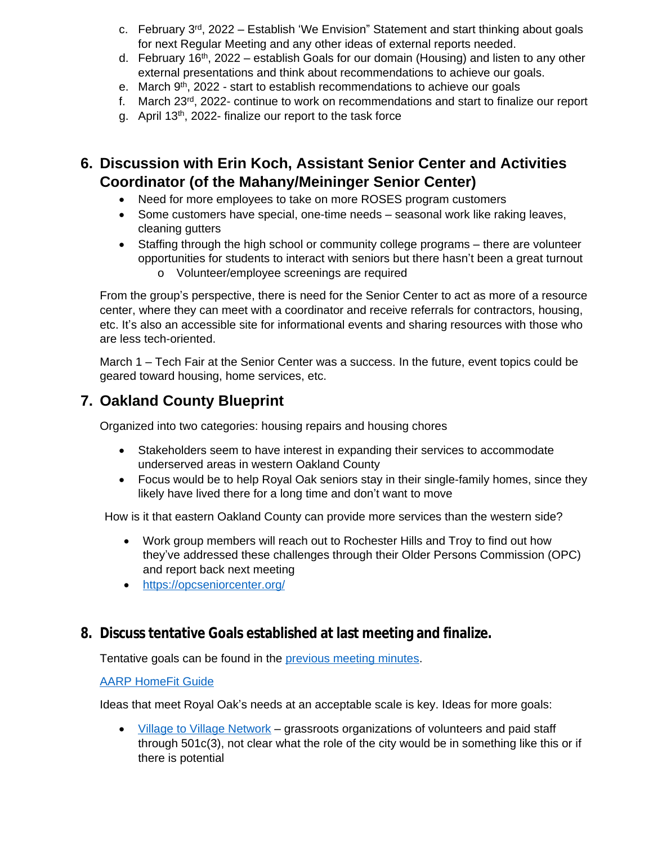- c. February 3rd, 2022 Establish 'We Envision" Statement and start thinking about goals for next Regular Meeting and any other ideas of external reports needed.
- d. February 16<sup>th</sup>, 2022 establish Goals for our domain (Housing) and listen to any other external presentations and think about recommendations to achieve our goals.
- e. March 9<sup>th</sup>, 2022 start to establish recommendations to achieve our goals
- f. March 23rd, 2022- continue to work on recommendations and start to finalize our report
- g. April 13th, 2022- finalize our report to the task force

# **6. Discussion with Erin Koch, Assistant Senior Center and Activities Coordinator (of the Mahany/Meininger Senior Center)**

- Need for more employees to take on more ROSES program customers
- Some customers have special, one-time needs seasonal work like raking leaves, cleaning gutters
- Staffing through the high school or community college programs there are volunteer opportunities for students to interact with seniors but there hasn't been a great turnout
	- o Volunteer/employee screenings are required

From the group's perspective, there is need for the Senior Center to act as more of a resource center, where they can meet with a coordinator and receive referrals for contractors, housing, etc. It's also an accessible site for informational events and sharing resources with those who are less tech-oriented.

March 1 – Tech Fair at the Senior Center was a success. In the future, event topics could be geared toward housing, home services, etc.

# **7. Oakland County Blueprint**

Organized into two categories: housing repairs and housing chores

- Stakeholders seem to have interest in expanding their services to accommodate underserved areas in western Oakland County
- Focus would be to help Royal Oak seniors stay in their single-family homes, since they likely have lived there for a long time and don't want to move

How is it that eastern Oakland County can provide more services than the western side?

- Work group members will reach out to Rochester Hills and Troy to find out how they've addressed these challenges through their Older Persons Commission (OPC) and report back next meeting
- <https://opcseniorcenter.org/>

### **8. Discuss tentative Goals established at last meeting and finalize.**

Tentative goals can be found in the [previous meeting minutes.](https://www.romi.gov/AgendaCenter/ViewFile/Minutes/_02162022-2573)

[AARP HomeFit Guide](https://www.aarp.org/content/dam/aarp/livable-communities/housing/2020/homefit/AARP%20HomeFit-singles-02242022.pdf)

Ideas that meet Royal Oak'[s needs at an acceptable scale is key. Ideas for more goals:](https://www.aarp.org/content/dam/aarp/livable-communities/housing/2020/homefit/AARP%20HomeFit-singles-02242022.pdf)

 [Village to Village Network](https://www.vtvnetwork.org/) – grassroots organizations of volunteers and paid staff through 501c(3), not clear what the role of the city would be in something like this or if there is potential